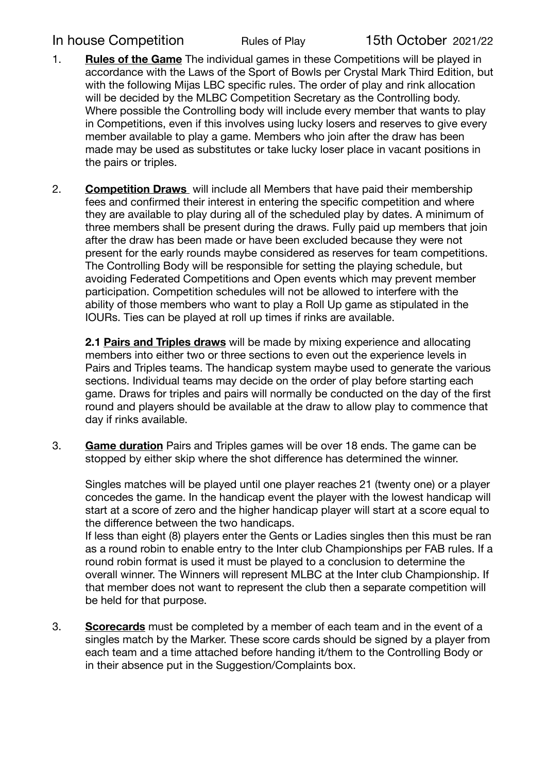## In house Competition Rules of Play 15th October 2021/22

- 1. **Rules of the Game** The individual games in these Competitions will be played in accordance with the Laws of the Sport of Bowls per Crystal Mark Third Edition, but with the following Mijas LBC specific rules. The order of play and rink allocation will be decided by the MLBC Competition Secretary as the Controlling body. Where possible the Controlling body will include every member that wants to play in Competitions, even if this involves using lucky losers and reserves to give every member available to play a game. Members who join after the draw has been made may be used as substitutes or take lucky loser place in vacant positions in the pairs or triples.
- 2. **Competition Draws** will include all Members that have paid their membership fees and confirmed their interest in entering the specific competition and where they are available to play during all of the scheduled play by dates. A minimum of three members shall be present during the draws. Fully paid up members that join after the draw has been made or have been excluded because they were not present for the early rounds maybe considered as reserves for team competitions. The Controlling Body will be responsible for setting the playing schedule, but avoiding Federated Competitions and Open events which may prevent member participation. Competition schedules will not be allowed to interfere with the ability of those members who want to play a Roll Up game as stipulated in the IOURs. Ties can be played at roll up times if rinks are available.

**2.1 Pairs and Triples draws** will be made by mixing experience and allocating members into either two or three sections to even out the experience levels in Pairs and Triples teams. The handicap system maybe used to generate the various sections. Individual teams may decide on the order of play before starting each game. Draws for triples and pairs will normally be conducted on the day of the first round and players should be available at the draw to allow play to commence that day if rinks available.

3. **Game duration** Pairs and Triples games will be over 18 ends. The game can be stopped by either skip where the shot difference has determined the winner.

Singles matches will be played until one player reaches 21 (twenty one) or a player concedes the game. In the handicap event the player with the lowest handicap will start at a score of zero and the higher handicap player will start at a score equal to the difference between the two handicaps.

If less than eight (8) players enter the Gents or Ladies singles then this must be ran as a round robin to enable entry to the Inter club Championships per FAB rules. If a round robin format is used it must be played to a conclusion to determine the overall winner. The Winners will represent MLBC at the Inter club Championship. If that member does not want to represent the club then a separate competition will be held for that purpose.

3. **Scorecards** must be completed by a member of each team and in the event of a singles match by the Marker. These score cards should be signed by a player from each team and a time attached before handing it/them to the Controlling Body or in their absence put in the Suggestion/Complaints box.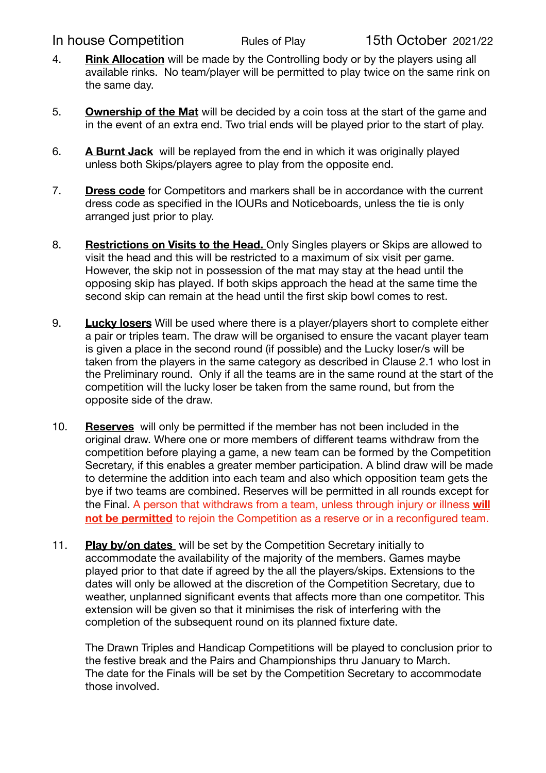## In house Competition Rules of Play 15th October 2021/22

- 4. **Rink Allocation** will be made by the Controlling body or by the players using all available rinks. No team/player will be permitted to play twice on the same rink on the same day.
- 5. **Ownership of the Mat** will be decided by a coin toss at the start of the game and in the event of an extra end. Two trial ends will be played prior to the start of play.
- 6. **A Burnt Jack** will be replayed from the end in which it was originally played unless both Skips/players agree to play from the opposite end.
- 7. **Dress code** for Competitors and markers shall be in accordance with the current dress code as specified in the IOURs and Noticeboards, unless the tie is only arranged just prior to play.
- 8. **Restrictions on Visits to the Head.** Only Singles players or Skips are allowed to visit the head and this will be restricted to a maximum of six visit per game. However, the skip not in possession of the mat may stay at the head until the opposing skip has played. If both skips approach the head at the same time the second skip can remain at the head until the first skip bowl comes to rest.
- 9. **Lucky losers** Will be used where there is a player/players short to complete either a pair or triples team. The draw will be organised to ensure the vacant player team is given a place in the second round (if possible) and the Lucky loser/s will be taken from the players in the same category as described in Clause 2.1 who lost in the Preliminary round. Only if all the teams are in the same round at the start of the competition will the lucky loser be taken from the same round, but from the opposite side of the draw.
- 10. **Reserves** will only be permitted if the member has not been included in the original draw. Where one or more members of different teams withdraw from the competition before playing a game, a new team can be formed by the Competition Secretary, if this enables a greater member participation. A blind draw will be made to determine the addition into each team and also which opposition team gets the bye if two teams are combined. Reserves will be permitted in all rounds except for the Final. A person that withdraws from a team, unless through injury or illness **will not be permitted** to rejoin the Competition as a reserve or in a reconfigured team.
- 11. **Play by/on dates** will be set by the Competition Secretary initially to accommodate the availability of the majority of the members. Games maybe played prior to that date if agreed by the all the players/skips. Extensions to the dates will only be allowed at the discretion of the Competition Secretary, due to weather, unplanned significant events that affects more than one competitor. This extension will be given so that it minimises the risk of interfering with the completion of the subsequent round on its planned fixture date.

The Drawn Triples and Handicap Competitions will be played to conclusion prior to the festive break and the Pairs and Championships thru January to March. The date for the Finals will be set by the Competition Secretary to accommodate those involved.